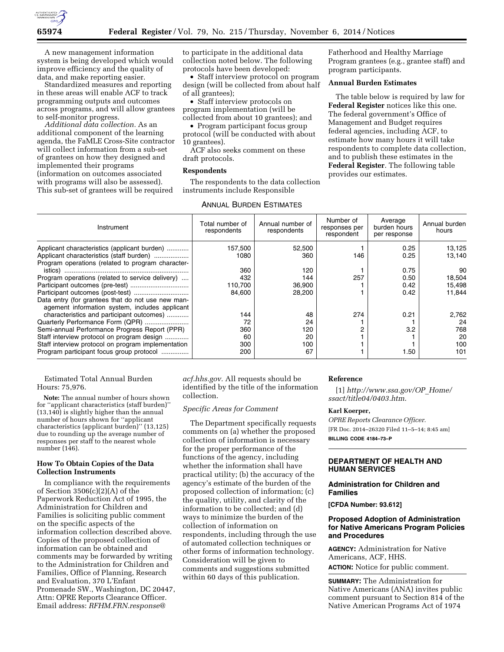

A new management information system is being developed which would improve efficiency and the quality of data, and make reporting easier.

Standardized measures and reporting in these areas will enable ACF to track programming outputs and outcomes across programs, and will allow grantees to self-monitor progress.

*Additional data collection.* As an additional component of the learning agenda, the FaMLE Cross-Site contractor will collect information from a sub-set of grantees on how they designed and implemented their programs (information on outcomes associated with programs will also be assessed). This sub-set of grantees will be required

to participate in the additional data collection noted below. The following protocols have been developed:

• Staff interview protocol on program design (will be collected from about half of all grantees);

• Staff interview protocols on program implementation (will be collected from about 10 grantees); and

• Program participant focus group protocol (will be conducted with about 10 grantees).

ACF also seeks comment on these draft protocols.

### **Respondents**

The respondents to the data collection instruments include Responsible

Fatherhood and Healthy Marriage Program grantees (e.g., grantee staff) and program participants.

### **Annual Burden Estimates**

The table below is required by law for **Federal Register** notices like this one. The federal government's Office of Management and Budget requires federal agencies, including ACF, to estimate how many hours it will take respondents to complete data collection, and to publish these estimates in the **Federal Register**. The following table provides our estimates.

| Instrument                                                                                                                                    | Total number of<br>respondents | Annual number of<br>respondents | Number of<br>responses per<br>respondent | Average<br>burden hours<br>per response | Annual burden<br>hours |
|-----------------------------------------------------------------------------------------------------------------------------------------------|--------------------------------|---------------------------------|------------------------------------------|-----------------------------------------|------------------------|
| Applicant characteristics (applicant burden)<br>Applicant characteristics (staff burden)<br>Program operations (related to program character- | 157,500<br>1080<br>360         | 52,500<br>360<br>120            | 146                                      | 0.25<br>0.25<br>0.75                    | 13,125<br>13,140<br>90 |
| Program operations (related to service delivery)                                                                                              | 432                            | 144                             | 257                                      | 0.50                                    | 18,504                 |
|                                                                                                                                               | 110,700                        | 36,900                          |                                          | 0.42                                    | 15,498                 |
| Data entry (for grantees that do not use new man-<br>agement information system, includes applicant                                           | 84,600                         | 28,200                          |                                          | 0.42                                    | 11,844                 |
| characteristics and participant outcomes)                                                                                                     | 144                            | 48                              | 274                                      | 0.21                                    | 2,762                  |
| Quarterly Performance Form (QPR)                                                                                                              | 72                             | 24                              |                                          |                                         | 24                     |
| Semi-annual Performance Progress Report (PPR)                                                                                                 | 360                            | 120                             | 2                                        | 3.2                                     | 768                    |
| Staff interview protocol on program design                                                                                                    | 60                             | 20                              |                                          |                                         | 20                     |
| Staff interview protocol on program implementation                                                                                            | 300                            | 100                             |                                          |                                         | 100                    |
| Program participant focus group protocol                                                                                                      | 200                            | 67                              |                                          | 1.50                                    | 101                    |

Estimated Total Annual Burden Hours: 75,976.

**Note:** The annual number of hours shown for ''applicant characteristics (staff burden)'' (13,140) is slightly higher than the annual number of hours shown for ''applicant characteristics (applicant burden)'' (13,125) due to rounding up the average number of responses per staff to the nearest whole number (146).

#### **How To Obtain Copies of the Data Collection Instruments**

In compliance with the requirements of Section 3506(c)(2)(A) of the Paperwork Reduction Act of 1995, the Administration for Children and Families is soliciting public comment on the specific aspects of the information collection described above. Copies of the proposed collection of information can be obtained and comments may be forwarded by writing to the Administration for Children and Families, Office of Planning, Research and Evaluation, 370 L'Enfant Promenade SW., Washington, DC 20447, Attn: OPRE Reports Clearance Officer. Email address: *[RFHM.FRN.response@](mailto:RFHM.FRN.response@acf.hhs.gov)*

*[acf.hhs.gov.](mailto:RFHM.FRN.response@acf.hhs.gov)* All requests should be identified by the title of the information collection.

#### *Specific Areas for Comment*

The Department specifically requests comments on (a) whether the proposed collection of information is necessary for the proper performance of the functions of the agency, including whether the information shall have practical utility; (b) the accuracy of the agency's estimate of the burden of the proposed collection of information; (c) the quality, utility, and clarity of the information to be collected; and (d) ways to minimize the burden of the collection of information on respondents, including through the use of automated collection techniques or other forms of information technology. Consideration will be given to comments and suggestions submitted within 60 days of this publication.

### **Reference**

[1] *[http://www.ssa.gov/OP](http://www.ssa.gov/OP_Home/ssact/title04/0403.htm)*\_*Home/ [ssact/title04/0403.htm](http://www.ssa.gov/OP_Home/ssact/title04/0403.htm)*.

## **Karl Koerper,**

*OPRE Reports Clearance Officer.*  [FR Doc. 2014–26320 Filed 11–5–14; 8:45 am] **BILLING CODE 4184–73–P** 

# **DEPARTMENT OF HEALTH AND HUMAN SERVICES**

### **Administration for Children and Families**

**[CFDA Number: 93.612]** 

# **Proposed Adoption of Administration for Native Americans Program Policies and Procedures**

**AGENCY:** Administration for Native Americans, ACF, HHS.

**ACTION:** Notice for public comment.

**SUMMARY:** The Administration for Native Americans (ANA) invites public comment pursuant to Section 814 of the Native American Programs Act of 1974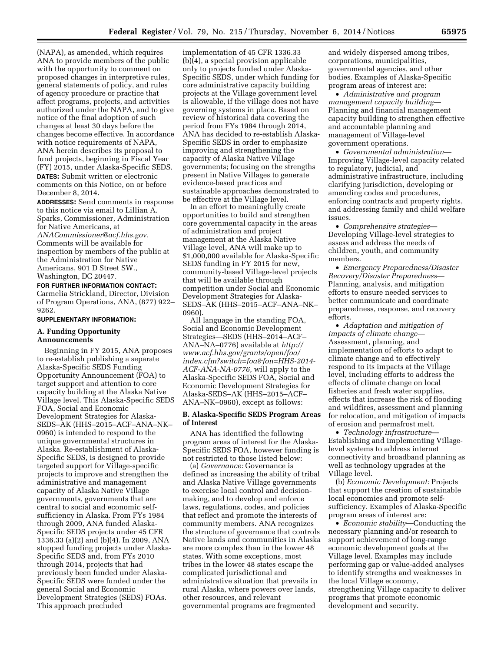(NAPA), as amended, which requires ANA to provide members of the public with the opportunity to comment on proposed changes in interpretive rules, general statements of policy, and rules of agency procedure or practice that affect programs, projects, and activities authorized under the NAPA, and to give notice of the final adoption of such changes at least 30 days before the changes become effective. In accordance with notice requirements of NAPA, ANA herein describes its proposal to fund projects, beginning in Fiscal Year (FY) 2015, under Alaska-Specific SEDS. **DATES:** Submit written or electronic comments on this Notice, on or before December 8, 2014.

**ADDRESSES:** Send comments in response to this notice via email to Lillian A. Sparks, Commissioner, Administration for Native Americans, at

*[ANACommissioner@acf.hhs.gov.](mailto:ANACommissioner@acf.hhs.gov)*  Comments will be available for inspection by members of the public at the Administration for Native Americans, 901 D Street SW., Washington, DC 20447.

**FOR FURTHER INFORMATION CONTACT:**  Carmelia Strickland, Director, Division of Program Operations, ANA, (877) 922– 9262.

# **SUPPLEMENTARY INFORMATION:**

### **A. Funding Opportunity Announcements**

Beginning in FY 2015, ANA proposes to re-establish publishing a separate Alaska-Specific SEDS Funding Opportunity Announcement (FOA) to target support and attention to core capacity building at the Alaska Native Village level. This Alaska-Specific SEDS FOA, Social and Economic Development Strategies for Alaska-SEDS–AK (HHS–2015–ACF–ANA–NK– 0960) is intended to respond to the unique governmental structures in Alaska. Re-establishment of Alaska-Specific SEDS, is designed to provide targeted support for Village-specific projects to improve and strengthen the administrative and management capacity of Alaska Native Village governments, governments that are central to social and economic selfsufficiency in Alaska. From FYs 1984 through 2009, ANA funded Alaska-Specific SEDS projects under 45 CFR 1336.33 (a)(2) and (b)(4). In 2009, ANA stopped funding projects under Alaska-Specific SEDS and, from FYs 2010 through 2014, projects that had previously been funded under Alaska-Specific SEDS were funded under the general Social and Economic Development Strategies (SEDS) FOAs. This approach precluded

implementation of 45 CFR 1336.33 (b)(4), a special provision applicable only to projects funded under Alaska-Specific SEDS, under which funding for core administrative capacity building projects at the Village government level is allowable, if the village does not have governing systems in place. Based on review of historical data covering the period from FYs 1984 through 2014, ANA has decided to re-establish Alaska-Specific SEDS in order to emphasize improving and strengthening the capacity of Alaska Native Village governments; focusing on the strengths present in Native Villages to generate evidence-based practices and sustainable approaches demonstrated to be effective at the Village level.

In an effort to meaningfully create opportunities to build and strengthen core governmental capacity in the areas of administration and project management at the Alaska Native Village level, ANA will make up to \$1,000,000 available for Alaska-Specific SEDS funding in FY 2015 for new, community-based Village-level projects that will be available through competition under Social and Economic Development Strategies for Alaska-SEDS–AK (HHS–2015–ACF–ANA–NK– 0960).

All language in the standing FOA, Social and Economic Development Strategies—SEDS (HHS–2014–ACF– ANA–NA–0776) available at *[http://](http://www.acf.hhs.gov/grants/open/foa/index.cfm?switch=foa&fon=HHS-2014-ACF-ANA-NA-0776) [www.acf.hhs.gov/grants/open/foa/](http://www.acf.hhs.gov/grants/open/foa/index.cfm?switch=foa&fon=HHS-2014-ACF-ANA-NA-0776)  [index.cfm?switch=foa&fon=HHS-2014-](http://www.acf.hhs.gov/grants/open/foa/index.cfm?switch=foa&fon=HHS-2014-ACF-ANA-NA-0776) [ACF-ANA-NA-0776,](http://www.acf.hhs.gov/grants/open/foa/index.cfm?switch=foa&fon=HHS-2014-ACF-ANA-NA-0776)* will apply to the Alaska-Specific SEDS FOA, Social and Economic Development Strategies for Alaska-SEDS–AK (HHS–2015–ACF– ANA–NK–0960), except as follows:

### **B. Alaska-Specific SEDS Program Areas of Interest**

ANA has identified the following program areas of interest for the Alaska-Specific SEDS FOA, however funding is not restricted to those listed below:

(a) *Governance:* Governance is defined as increasing the ability of tribal and Alaska Native Village governments to exercise local control and decisionmaking, and to develop and enforce laws, regulations, codes, and policies that reflect and promote the interests of community members. ANA recognizes the structure of governance that controls Native lands and communities in Alaska are more complex than in the lower 48 states. With some exceptions, most tribes in the lower 48 states escape the complicated jurisdictional and administrative situation that prevails in rural Alaska, where powers over lands, other resources, and relevant governmental programs are fragmented

and widely dispersed among tribes, corporations, municipalities, governmental agencies, and other bodies. Examples of Alaska-Specific program areas of interest are:

• *Administrative and program management capacity building*— Planning and financial management capacity building to strengthen effective and accountable planning and management of Village-level government operations.

• *Governmental administration*— Improving Village-level capacity related to regulatory, judicial, and administrative infrastructure, including clarifying jurisdiction, developing or amending codes and procedures, enforcing contracts and property rights, and addressing family and child welfare issues.

• *Comprehensive strategies*— Developing Village-level strategies to assess and address the needs of children, youth, and community members.

• *Emergency Preparedness/Disaster Recovery/Disaster Preparedness*— Planning, analysis, and mitigation efforts to ensure needed services to better communicate and coordinate preparedness, response, and recovery efforts.

• *Adaptation and mitigation of impacts of climate change*— Assessment, planning, and implementation of efforts to adapt to climate change and to effectively respond to its impacts at the Village level, including efforts to address the effects of climate change on local fisheries and fresh water supplies, effects that increase the risk of flooding and wildfires, assessment and planning for relocation, and mitigation of impacts of erosion and permafrost melt.

• *Technology infrastructure*— Establishing and implementing Villagelevel systems to address internet connectivity and broadband planning as well as technology upgrades at the Village level.

(b) *Economic Development:* Projects that support the creation of sustainable local economies and promote selfsufficiency. Examples of Alaska-Specific program areas of interest are:

• *Economic stability*—Conducting the necessary planning and/or research to support achievement of long-range economic development goals at the Village level. Examples may include performing gap or value-added analyses to identify strengths and weaknesses in the local Village economy, strengthening Village capacity to deliver programs that promote economic development and security.